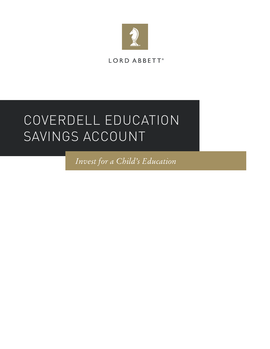

LORD ABBETT®

# COVERDELL EDUCATION SAVINGS ACCOUNT

*Invest for a Child's Education*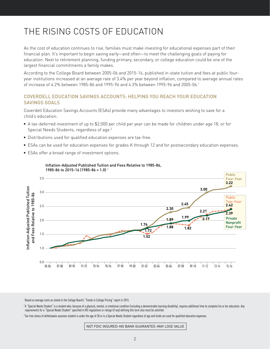# THE RISING COSTS OF EDUCATION

As the cost of education continues to rise, families must make investing for educational expenses part of their financial plan. It's important to begin saving early—and often—to meet the challenging goals of paying for education. Next to retirement planning, funding primary, secondary, or college education could be one of the largest financial commitments a family makes.

According to the College Board between 2005-06 and 2015-16, published in-state tuition and fees at public fouryear institutions increased at an average rate of 3.4% per year beyond inflation, compared to average annual rates of increase of 4.2% between 1985-86 and 1995-96 and 4.3% between 1995-96 and 2005-06.1

#### COVERDELL EDUCATION SAVINGS ACCOUNTS: HELPING YOU REACH YOUR EDUCATION SAVINGS GOALS

Coverdell Education Savings Accounts (ESAs) provide many advantages to investors wishing to save for a child's education:

- <sup>n</sup> A tax-deferred investment of up to \$2,000 per child per year can be made for children under age 18, or for Special Needs Students, regardless of age.<sup>2</sup>
- **Distributions used for qualified education expenses are tax-free.**
- **ESAs can be used for education expenses for grades K through 12 and for postsecondary education expenses.**
- ESAs offer a broad range of investment options.



#### Inflation-Adjusted Published Tuition and Fees Relative to 1985-86, 1985-86 to 2015-16 (1985-86 = 1.0) 1

<sup>1</sup> Based on average costs as stated in the College Board's "Trends in College Pricing" report in 2015.

<sup>2</sup>A "Special Needs Student" is a student who, because of a physical, mental, or emotional condition (including a demonstrable learning disability), requires additional time to complete his or her education. Any requirements for a "Special Needs Student" specified in IRS regulations or rulings (if any) defining this term also must be satisfied.

<sup>3</sup> Tax-free status of withdrawals assumes student is under the age of 30 or is a Special Needs Student regardless of age and funds are used for qualified education expenses.

NOT FDIC INSURED–NO BANK GUARANTEE–MAY LOSE VALUE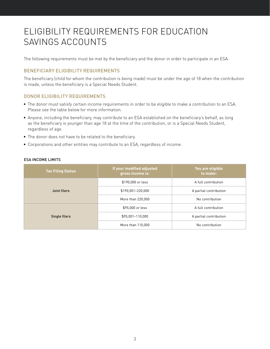# ELIGIBILITY REQUIREMENTS FOR EDUCATION SAVINGS ACCOUNTS

The following requirements must be met by the beneficiary and the donor in order to participate in an ESA.

### BENEFICIARY ELIGIBILITY REQUIREMENTS

The beneficiary (child for whom the contribution is being made) must be under the age of 18 when the contribution is made, unless the beneficiary is a Special Needs Student.

#### DONOR ELIGIBILITY REQUIREMENTS

- <sup>n</sup> The donor must satisfy certain income requirements in order to be eligible to make a contribution to an ESA. Please see the table below for more information.
- <sup>n</sup> Anyone, including the beneficiary, may contribute to an ESA established on the beneficiary's behalf, as long as the beneficiary is younger than age 18 at the time of the contribution, or is a Special Needs Student, regardless of age.
- $\blacksquare$  The donor does not have to be related to the beneficiary.
- **Corporations and other entities may contribute to an ESA, regardless of income.**

| <b>Tax Filing Status</b> | If your modified adjusted<br>gross income is: | You are eligible<br>to make: |
|--------------------------|-----------------------------------------------|------------------------------|
| Joint filers             | \$190,000 or less                             | A full contribution          |
|                          | \$190,001-220,000                             | A partial contribution       |
|                          | More than 220,000                             | No contribution              |
| Single filers            | \$95,000 or less                              | A full contribution          |
|                          | \$95,001-110,000                              | A partial contribution       |
|                          | More than 110,000                             | No contribution              |

#### ESA INCOME LIMITS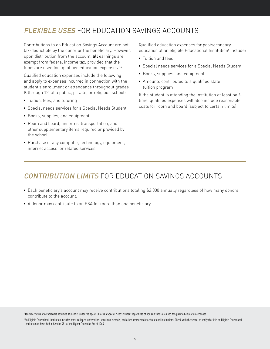### FLEXIBLE USES FOR EDUCATION SAVINGS ACCOUNTS

Contributions to an Education Savings Account are not tax-deductible by the donor or the beneficiary. However, upon distribution from the account, all earnings are exempt from federal income tax, provided that the funds are used for "qualified education expenses."4

Qualified education expenses include the following and apply to expenses incurred in connection with the student's enrollment or attendance throughout grades K through 12, at a public, private, or religious school:

- Tuition, fees, and tutoring
- **F** Special needs services for a Special Needs Student
- **Books, supplies, and equipment**
- Room and board, uniforms, transportation, and other supplementary items required or provided by the school
- Purchase of any computer, technology, equipment, internet access, or related services

Qualified education expenses for postsecondary education at an eligible Educational Institution<sup>5</sup> include:

- **Tuition and fees**
- **F** Special needs services for a Special Needs Student
- **Books, supplies, and equipment**
- Amounts contributed to a qualified state tuition program

If the student is attending the institution at least halftime, qualified expenses will also include reasonable costs for room and board (subject to certain limits).

### CONTRIBUTION LIMITS FOR EDUCATION SAVINGS ACCOUNTS

- **Each beneficiary's account may receive contributions totaling \$2,000 annually regardless of how many donors** contribute to the account.
- A donor may contribute to an ESA for more than one beneficiary.

<sup>4</sup> Tax-free status of withdrawals assumes student is under the age of 30 or is a Special Needs Student regardless of age and funds are used for qualified education expenses.

<sup>&</sup>lt;sup>5</sup>An Eligible Educational Institution includes most colleges, universities, vocational schools, and other postsecondary educational institutions. Check with the school to verify that it is an Eligible Educational Institution as described in Section 481 of the Higher Education Act of 1965.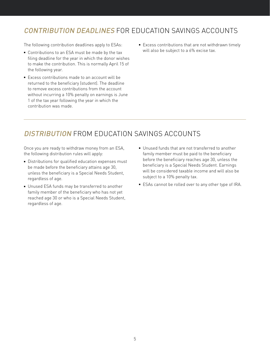### CONTRIBUTION DEADLINES FOR EDUCATION SAVINGS ACCOUNTS

The following contribution deadlines apply to ESAs:

- Contributions to an ESA must be made by the tax filing deadline for the year in which the donor wishes to make the contribution. This is normally April 15 of the following year.
- Excess contributions made to an account will be returned to the beneficiary (student). The deadline to remove excess contributions from the account without incurring a 10% penalty on earnings is June 1 of the tax year following the year in which the contribution was made.
- Excess contributions that are not withdrawn timely will also be subject to a 6% excise tax.

### DISTRIBUTION FROM EDUCATION SAVINGS ACCOUNTS

Once you are ready to withdraw money from an ESA, the following distribution rules will apply:

- Distributions for qualified education expenses must be made before the beneficiary attains age 30, unless the beneficiary is a Special Needs Student, regardless of age.
- **Unused ESA funds may be transferred to another** family member of the beneficiary who has not yet reached age 30 or who is a Special Needs Student, regardless of age.
- $\blacksquare$  Unused funds that are not transferred to another family member must be paid to the beneficiary before the beneficiary reaches age 30, unless the beneficiary is a Special Needs Student. Earnings will be considered taxable income and will also be subject to a 10% penalty tax.
- ESAs cannot be rolled over to any other type of IRA.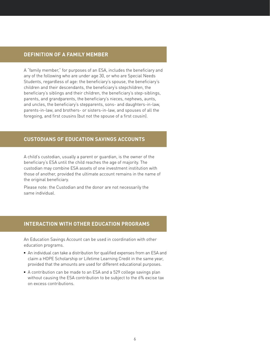### **DEFINITION OF A FAMILY MEMBER**

A "family member," for purposes of an ESA, includes the beneficiary and any of the following who are under age 30, or who are Special Needs Students, regardless of age: the beneficiary's spouse, the beneficiary's children and their descendants, the beneficiary's stepchildren, the beneficiary's siblings and their children, the beneficiary's step-siblings, parents, and grandparents, the beneficiary's nieces, nephews, aunts, and uncles, the beneficiary's stepparents, sons- and daughters-in-law, parents-in-law, and brothers- or sisters-in-law, and spouses of all the foregoing, and first cousins (but not the spouse of a first cousin).

### **CUSTODIANS OF EDUCATION SAVINGS ACCOUNTS**

A child's custodian, usually a parent or guardian, is the owner of the beneficiary's ESA until the child reaches the age of majority. The custodian may combine ESA assets of one investment institution with those of another, provided the ultimate account remains in the name of the original beneficiary.

Please note: the Custodian and the donor are not necessarily the same individual.

### **INTERACTION WITH OTHER EDUCATION PROGRAMS**

An Education Savings Account can be used in coordination with other education programs.

- An individual can take a distribution for qualified expenses from an ESA and claim a HOPE Scholarship or Lifetime Learning Credit in the same year, provided that the amounts are used for different educational purposes.
- A contribution can be made to an ESA and a 529 college savings plan without causing the ESA contribution to be subject to the 6% excise tax on excess contributions.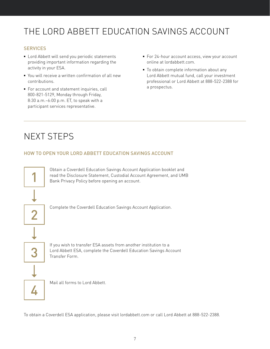# THE LORD ABBETT EDUCATION SAVINGS ACCOUNT

### **SERVICES**

- **EXECT** Lord Abbett will send you periodic statements providing important information regarding the activity in your ESA.
- You will receive a written confirmation of all new contributions.
- For account and statement inquiries, call 800-821-5129, Monday through Friday, 8:30 a.m.–6:00 p.m. ET, to speak with a participant services representative.
- For 24-hour account access, view your account online at lordabbett.com.
- To obtain complete information about any Lord Abbett mutual fund, call your investment professional or Lord Abbett at 888-522-2388 for a prospectus.

# NEXT STEPS

### HOW TO OPEN YOUR LORD ABBETT EDUCATION SAVINGS ACCOUNT



To obtain a Coverdell ESA application, please visit lordabbett.com or call Lord Abbett at 888-522-2388.